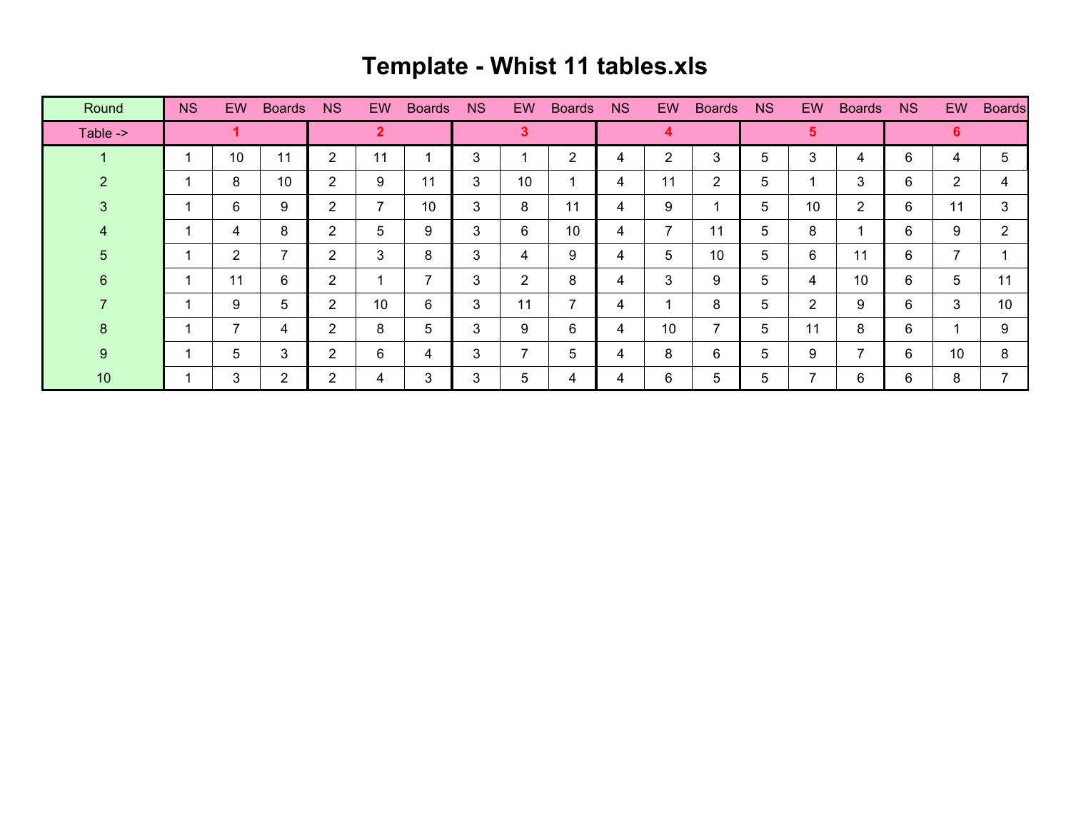## **Template - Whist 11 tables.xls**

| Round    | <b>NS</b> | <b>EW</b>      | <b>Boards</b>  | <b>NS</b>      | <b>EW</b> | <b>Boards</b> | <b>NS</b> | <b>EW</b>      | <b>Boards</b>  | <b>NS</b> | EW | <b>Boards</b> | <b>NS</b>      | <b>EW</b>      | <b>Boards</b>        | <b>NS</b> | EW.            | <b>Boards</b>  |
|----------|-----------|----------------|----------------|----------------|-----------|---------------|-----------|----------------|----------------|-----------|----|---------------|----------------|----------------|----------------------|-----------|----------------|----------------|
| Table -> |           |                |                | $\overline{2}$ |           |               | 3         |                |                | 4         |    |               | $5\phantom{1}$ |                |                      | 6.        |                |                |
|          |           | 10             | 11             | $\overline{2}$ | 11        |               | 3         |                | $\overline{2}$ | 4         | 2  | 3             | 5              | 3              | 4                    | 6         | 4              | 5              |
| 2        |           | 8              | 10             | $\overline{2}$ | 9         | 11            | 3         | 10             | ٠              | 4         | 11 | 2             | 5              |                | 3                    | 6         | $\overline{2}$ | 4              |
| 3        |           | 6              | 9              | $\overline{2}$ | 7         | 10            | 3         | 8              | 11             | 4         | 9  |               | 5              | 10             | $\overline{2}$       | 6         | 11             | 3              |
| 4        |           | 4              | 8              | 2              | 5         | 9             | 3         | 6              | 10             | 4         | 7  | 11            | 5              | 8              | $\blacktriangleleft$ | 6         | 9              | $\overline{2}$ |
| 5        |           | $\overline{2}$ | 7              | 2              | 3         | 8             | 3         | 4              | 9              | 4         | 5  | 10            | 5              | 6              | 11                   | 6         | $\overline{7}$ |                |
| 6        |           | 11             | 6              | $\overline{2}$ |           | ⇁             | 3         | $\overline{2}$ | 8              | 4         | 3  | 9             | 5              | 4              | 10                   | 6         | 5              | 11             |
|          |           | 9              | 5              | 2              | 10        | 6             | 3         | 11             | $\overline{7}$ | 4         | 1  | 8             | 5              | $\overline{2}$ | 9                    | 6         | 3              | 10             |
| 8        |           | $\overline{ }$ | 4              | 2              | 8         | 5             | 3         | 9              | 6              | 4         | 10 | 7             | 5              | 11             | 8                    | 6         | и              | 9              |
| 9        |           | 5              | 3              | $\overline{2}$ | 6         | 4             | 3         | 7              | 5              | 4         | 8  | 6             | 5              | 9              | $\overline{7}$       | 6         | 10             | 8              |
| 10       |           | 3              | $\overline{2}$ | $\overline{2}$ | 4         | 3             | 3         | 5              | 4              | 4         | 6  | 5             | 5              | 7              | 6                    | 6         | 8              |                |